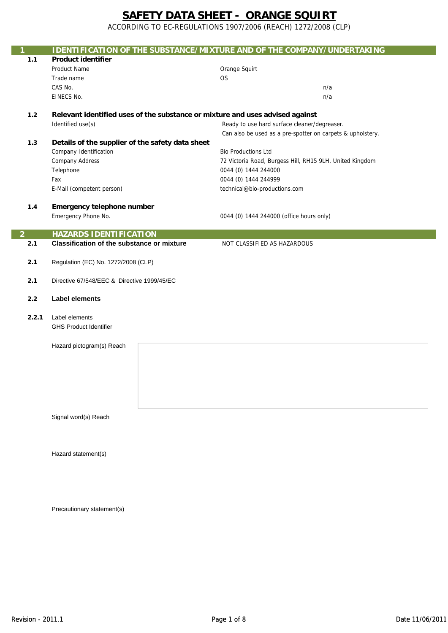ACCORDING TO EC-REGULATIONS 1907/2006 (REACH) 1272/2008 (CLP)

|       | <b>IDENTIFICATION OF THE SUBSTANCE/MIXTURE AND OF THE COMPANY/UNDERTAKING</b> |                                                            |  |  |
|-------|-------------------------------------------------------------------------------|------------------------------------------------------------|--|--|
| 1.1   | <b>Product identifier</b>                                                     |                                                            |  |  |
|       | Product Name                                                                  | Orange Squirt                                              |  |  |
|       | Trade name                                                                    | OS.                                                        |  |  |
|       | CAS No.                                                                       | n/a                                                        |  |  |
|       | EINECS No.                                                                    | n/a                                                        |  |  |
|       |                                                                               |                                                            |  |  |
| $1.2$ | Relevant identified uses of the substance or mixture and uses advised against |                                                            |  |  |
|       | Identified use(s)                                                             | Ready to use hard surface cleaner/degreaser.               |  |  |
|       |                                                                               | Can also be used as a pre-spotter on carpets & upholstery. |  |  |
| 1.3   | Details of the supplier of the safety data sheet                              |                                                            |  |  |
|       | Company Identification                                                        | <b>Bio Productions Ltd</b>                                 |  |  |
|       | <b>Company Address</b>                                                        | 72 Victoria Road, Burgess Hill, RH15 9LH, United Kingdom   |  |  |
|       | Telephone                                                                     | 0044 (0) 1444 244000                                       |  |  |
|       | Fax                                                                           | 0044 (0) 1444 244999                                       |  |  |
|       | E-Mail (competent person)                                                     | technical@bio-productions.com                              |  |  |
|       |                                                                               |                                                            |  |  |
| 1.4   | Emergency telephone number                                                    |                                                            |  |  |
|       | Emergency Phone No.                                                           | 0044 (0) 1444 244000 (office hours only)                   |  |  |
|       |                                                                               |                                                            |  |  |
| 2     | <b>HAZARDS IDENTIFICATION</b>                                                 |                                                            |  |  |
| 2.1   | <b>Classification of the substance or mixture</b>                             | NOT CLASSIFIED AS HAZARDOUS                                |  |  |
|       |                                                                               |                                                            |  |  |
| 2.1   | Regulation (EC) No. 1272/2008 (CLP)                                           |                                                            |  |  |
|       |                                                                               |                                                            |  |  |
| 2.1   | Directive 67/548/EEC & Directive 1999/45/EC                                   |                                                            |  |  |
|       |                                                                               |                                                            |  |  |
| 2.2   | <b>Label elements</b>                                                         |                                                            |  |  |
|       |                                                                               |                                                            |  |  |
| 2.2.1 | Label elements                                                                |                                                            |  |  |
|       | <b>GHS Product Identifier</b>                                                 |                                                            |  |  |
|       |                                                                               |                                                            |  |  |
|       | Hazard pictogram(s) Reach                                                     |                                                            |  |  |
|       |                                                                               |                                                            |  |  |
|       |                                                                               |                                                            |  |  |
|       |                                                                               |                                                            |  |  |
|       |                                                                               |                                                            |  |  |
|       |                                                                               |                                                            |  |  |
|       |                                                                               |                                                            |  |  |
|       |                                                                               |                                                            |  |  |
|       | Signal word(s) Reach                                                          |                                                            |  |  |
|       |                                                                               |                                                            |  |  |
|       |                                                                               |                                                            |  |  |
|       |                                                                               |                                                            |  |  |
|       | Hazard statement(s)                                                           |                                                            |  |  |
|       |                                                                               |                                                            |  |  |

Precautionary statement(s)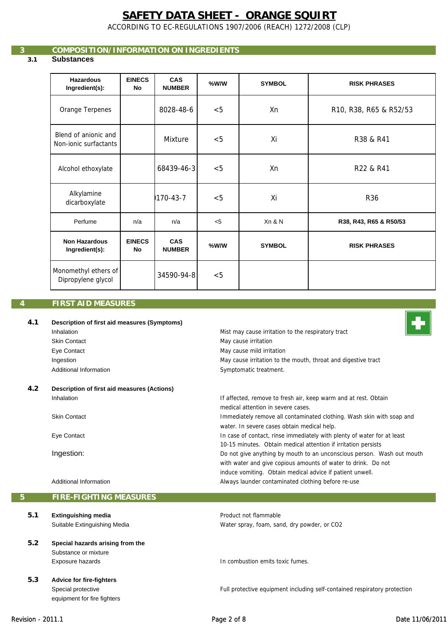ACCORDING TO EC-REGULATIONS 1907/2006 (REACH) 1272/2008 (CLP)

# **3 COMPOSITION/INFORMATION ON INGREDIENTS**

# **3.1 Substances**

| <b>Hazardous</b><br>Ingredient(s):            | <b>EINECS</b><br>No        | <b>CAS</b><br><b>NUMBER</b> | %W/W | <b>SYMBOL</b> | <b>RISK PHRASES</b>    |
|-----------------------------------------------|----------------------------|-----------------------------|------|---------------|------------------------|
| Orange Terpenes                               |                            | 8028-48-6                   | < 5  | Xn            | R10, R38, R65 & R52/53 |
| Blend of anionic and<br>Non-jonic surfactants |                            | Mixture                     | < 5  | Xi            | R38 & R41              |
| Alcohol ethoxylate                            |                            | 68439-46-3                  | < 5  | Xn            | R22 & R41              |
| Alkylamine<br>dicarboxylate                   |                            | 170-43-7                    | < 5  | Xi            | <b>R36</b>             |
| Perfume                                       | n/a                        | n/a                         | < 5  | Xn & N        | R38, R43, R65 & R50/53 |
| <b>Non Hazardous</b><br>Ingredient(s):        | <b>EINECS</b><br><b>No</b> | <b>CAS</b><br><b>NUMBER</b> | %W/W | <b>SYMBOL</b> | <b>RISK PHRASES</b>    |
| Monomethyl ethers of<br>Dipropylene glycol    |                            | 34590-94-8                  | < 5  |               |                        |

# **4 FIRST AID MEASURES**

| 4.1 | Description of first aid measures (Symptoms) |                                                                         |
|-----|----------------------------------------------|-------------------------------------------------------------------------|
|     | Inhalation                                   | Mist may cause irritation to the respiratory tract                      |
|     | <b>Skin Contact</b>                          | May cause irritation                                                    |
|     | Eye Contact                                  | May cause mild irritation                                               |
|     | Ingestion                                    | May cause irritation to the mouth, throat and digestive tract           |
|     | Additional Information                       | Symptomatic treatment.                                                  |
| 4.2 | Description of first aid measures (Actions)  |                                                                         |
|     | Inhalation                                   | If affected, remove to fresh air, keep warm and at rest. Obtain         |
|     |                                              | medical attention in severe cases.                                      |
|     | <b>Skin Contact</b>                          | Immediately remove all contaminated clothing. Wash skin with soap and   |
|     |                                              | water. In severe cases obtain medical help.                             |
|     | Eye Contact                                  | In case of contact, rinse immediately with plenty of water for at least |
|     |                                              | 10-15 minutes. Obtain medical attention if irritation persists          |
|     | Ingestion:                                   | Do not give anything by mouth to an unconscious person. Wash out mouth  |
|     |                                              | with water and give copious amounts of water to drink. Do not           |
|     |                                              | induce vomiting. Obtain medical advice if patient unwell.               |

Additional Information

**5 FIRE-FIGHTING MEASURES**

- **5.1 Extinguishing media** Suitable Extinguishing Media
- **5.2 Special hazards arising from the**  Substance or mixture Exposure hazards
- **5.3 Advice for fire-fighters** Special protective equipment for fire fighters

Product not flammable Water spray, foam, sand, dry powder, or CO2

Always launder contaminated clothing before re-use

In combustion emits toxic fumes.

Full protective equipment including self-contained respiratory protection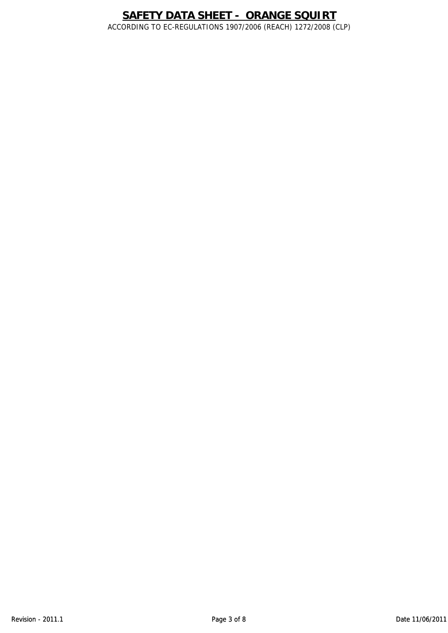ACCORDING TO EC-REGULATIONS 1907/2006 (REACH) 1272/2008 (CLP)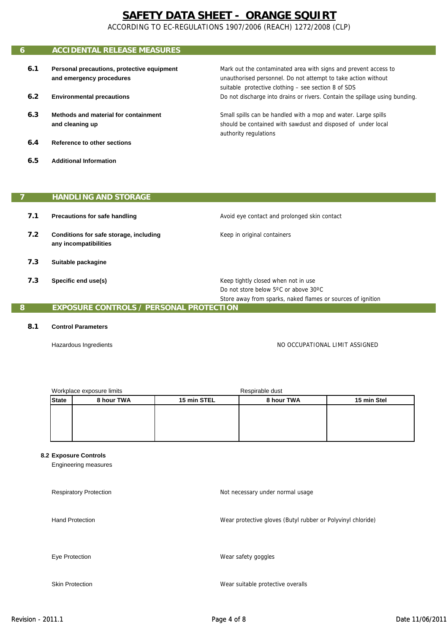ACCORDING TO EC-REGULATIONS 1907/2006 (REACH) 1272/2008 (CLP)

| 6   | <b>ACCIDENTAL RELEASE MEASURES</b>         |                                                                             |
|-----|--------------------------------------------|-----------------------------------------------------------------------------|
|     |                                            |                                                                             |
| 6.1 | Personal precautions, protective equipment | Mark out the contaminated area with signs and prevent access to             |
|     | and emergency procedures                   | unauthorised personnel. Do not attempt to take action without               |
|     |                                            | suitable protective clothing – see section 8 of SDS                         |
| 6.2 | <b>Environmental precautions</b>           | Do not discharge into drains or rivers. Contain the spillage using bunding. |
| 6.3 | Methods and material for containment       | Small spills can be handled with a mop and water. Large spills              |
|     | and cleaning up                            | should be contained with sawdust and disposed of under local                |
|     |                                            | authority regulations                                                       |
| 6.4 | Reference to other sections                |                                                                             |

**6.5 Additional Information**

# **7 HANDLING AND STORAGE**

| 7.1 | Precautions for safe handling                                   | Avoid eye contact and prolonged skin contact                                                                                                                   |
|-----|-----------------------------------------------------------------|----------------------------------------------------------------------------------------------------------------------------------------------------------------|
| 7.2 | Conditions for safe storage, including<br>any incompatibilities | Keep in original containers                                                                                                                                    |
| 7.3 | Suitable packagine                                              |                                                                                                                                                                |
| 7.3 | Specific end use(s)                                             | Keep tightly closed when not in use<br>Do not store below $5^{\circ}$ C or above $30^{\circ}$ C<br>Store away from sparks, naked flames or sources of ignition |

# **8 EXPOSURE CONTROLS / PERSONAL PROTECTION**

### **8.1 Control Parameters**

Hazardous Ingredients

NO OCCUPATIONAL LIMIT ASSIGNED

| Workplace exposure limits |            |             | Respirable dust |             |
|---------------------------|------------|-------------|-----------------|-------------|
| <b>State</b>              | 8 hour TWA | 15 min STEL | 8 hour TWA      | 15 min Stel |
|                           |            |             |                 |             |
|                           |            |             |                 |             |
|                           |            |             |                 |             |
|                           |            |             |                 |             |

### **8.2 Exposure Controls**

Engineering measures

| <b>Respiratory Protection</b> | Not necessary under normal usage                            |  |
|-------------------------------|-------------------------------------------------------------|--|
| <b>Hand Protection</b>        | Wear protective gloves (Butyl rubber or Polyvinyl chloride) |  |
| Eye Protection                | Wear safety goggles                                         |  |
| <b>Skin Protection</b>        | Wear suitable protective overalls                           |  |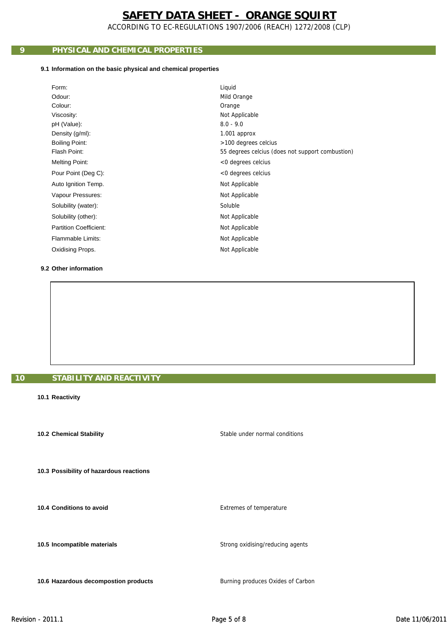ACCORDING TO EC-REGULATIONS 1907/2006 (REACH) 1272/2008 (CLP)

# **9 PHYSICAL AND CHEMICAL PROPERTIES**

### **9.1 Information on the basic physical and chemical properties**

| Form:                         | Liquid                                           |
|-------------------------------|--------------------------------------------------|
| Odour:                        | Mild Orange                                      |
| Colour:                       | Orange                                           |
| Viscosity:                    | Not Applicable                                   |
| pH (Value):                   | $8.0 - 9.0$                                      |
| Density (g/ml):               | $1.001$ approx                                   |
| <b>Boiling Point:</b>         | >100 degrees celcius                             |
| Flash Point:                  | 55 degrees celcius (does not support combustion) |
| <b>Melting Point:</b>         | <0 degrees celcius                               |
| Pour Point (Deg C):           | <0 degrees celcius                               |
| Auto Ignition Temp.           | Not Applicable                                   |
| Vapour Pressures:             | Not Applicable                                   |
| Solubility (water):           | Soluble                                          |
| Solubility (other):           | Not Applicable                                   |
| <b>Partition Coefficient:</b> | Not Applicable                                   |
| Flammable Limits:             | Not Applicable                                   |
| Oxidising Props.              | Not Applicable                                   |

### **9.2 Other information**

# **10 STABILITY AND REACTIVITY**

### **10.1 Reactivity**

 **10.2 Chemical Stability**

 **10.3 Possibility of hazardous reactions**

 **10.4 Conditions to avoid**

 **10.5 Incompatible materials**

 **10.6 Hazardous decompostion products**

Extremes of temperature

Stable under normal conditions

Strong oxidising/reducing agents

Burning produces Oxides of Carbon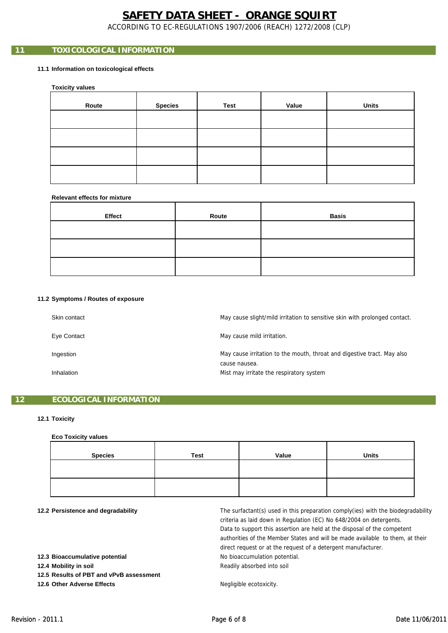ACCORDING TO EC-REGULATIONS 1907/2006 (REACH) 1272/2008 (CLP)

# **11 TOXICOLOGICAL INFORMATION**

## **11.1 Information on toxicological effects**

 **Toxicity values**

| Route | <b>Species</b> | <b>Test</b> | Value | <b>Units</b> |
|-------|----------------|-------------|-------|--------------|
|       |                |             |       |              |
|       |                |             |       |              |
|       |                |             |       |              |
|       |                |             |       |              |

### **Relevant effects for mixture**

| Effect | Route | <b>Basis</b> |
|--------|-------|--------------|
|        |       |              |
|        |       |              |
|        |       |              |

#### **11.2 Symptoms / Routes of exposure**

| Skin contact | May cause slight/mild irritation to sensitive skin with prolonged contact.               |
|--------------|------------------------------------------------------------------------------------------|
| Eye Contact  | May cause mild irritation.                                                               |
| Ingestion    | May cause irritation to the mouth, throat and digestive tract. May also<br>cause nausea. |
| Inhalation   | Mist may irritate the respiratory system                                                 |

# **12 ECOLOGICAL INFORMATION**

### **12.1 Toxicity**

# **Eco Toxicity values**

| <b>Species</b> | <b>Test</b> | Value | <b>Units</b> |
|----------------|-------------|-------|--------------|
|                |             |       |              |
|                |             |       |              |

#### **12.2 Persistence and degradability**

| 12.2 Persistence and degradability      | The surfactant(s) used in this preparation comply(ies) with the biodegradability |
|-----------------------------------------|----------------------------------------------------------------------------------|
|                                         | criteria as laid down in Regulation (EC) No 648/2004 on detergents.              |
|                                         | Data to support this assertion are held at the disposal of the competent         |
|                                         | authorities of the Member States and will be made available to them, at their    |
|                                         | direct request or at the request of a detergent manufacturer.                    |
| 12.3 Bioaccumulative potential          | No bioaccumulation potential.                                                    |
| 12.4 Mobility in soil                   | Readily absorbed into soil                                                       |
| 12.5 Results of PBT and vPvB assessment |                                                                                  |
| 12.6 Other Adverse Effects              | Negligible ecotoxicity.                                                          |
|                                         |                                                                                  |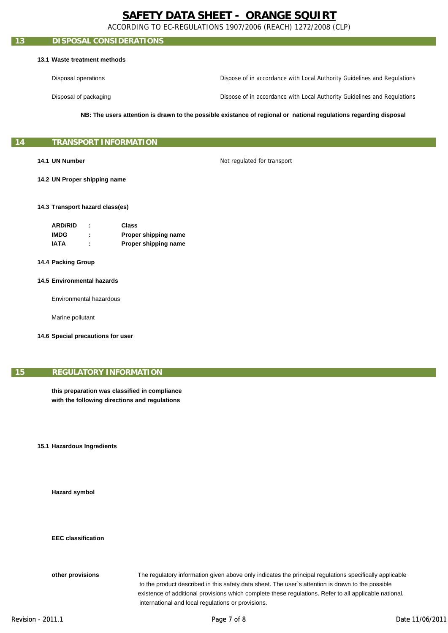ACCORDING TO EC-REGULATIONS 1907/2006 (REACH) 1272/2008 (CLP)

# **13 DISPOSAL CONSIDERATIONS**

#### **13.1 Waste treatment methods**

Disposal operations Dispose of in accordance with Local Authority Guidelines and Regulations

Disposal of packaging

Dispose of in accordance with Local Authority Guidelines and Regulations

**NB: The users attention is drawn to the possible existance of regional or national regulations regarding disposal**

### **15 TRANSPORT INFORMATION**

### **14.1 UN Number**

Not regulated for transport

 **14.2 UN Proper shipping name**

#### **14.3 Transport hazard class(es)**

| <b>ARD/RID</b> |   | Class                |
|----------------|---|----------------------|
| <b>IMDG</b>    |   | Proper shipping name |
| IATA           | ٠ | Proper shipping name |

 **14.4 Packing Group**

#### **14.5 Environmental hazards**

Environmental hazardous

Marine pollutant

 **14.6 Special precautions for user**

### **15 REGULATORY INFORMATION**

**this preparation was classified in compliance with the following directions and regulations**

**15.1 Hazardous Ingredients**

 **Hazard symbol**

 **EEC classification**

 **other provisions** The regulatory information given above only indicates the principal regulations specifically applicable to the product described in this safety data sheet. The user`s attention is drawn to the possible existence of additional provisions which complete these regulations. Refer to all applicable national, international and local regulations or provisions.